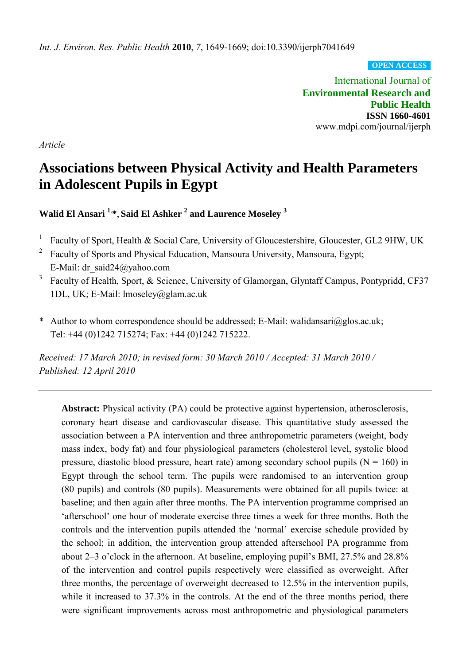*Int. J. Environ. Res. Public Health* **2010**, *7*, 1649-1669; doi:10.3390/ijerph7041649

**OPEN ACCESS**

International Journal of **Environmental Research and Public Health ISSN 1660-4601**  www.mdpi.com/journal/ijerph

*Article* 

# **Associations between Physical Activity and Health Parameters in Adolescent Pupils in Egypt**

**Walid El Ansari <sup>1</sup>**, **\***, **Said El Ashker <sup>2</sup> and Laurence Moseley <sup>3</sup>**

- 1 Faculty of Sport, Health & Social Care, University of Gloucestershire, Gloucester, GL2 9HW, UK
- 2 Faculty of Sports and Physical Education, Mansoura University, Mansoura, Egypt; E-Mail: [dr\\_said24@yahoo.com](mailto:dr_said24@yahoo.com)
- 3 Faculty of Health, Sport, & Science, University of Glamorgan, Glyntaff Campus, Pontypridd, CF37 1DL, UK; E-Mail: lmoseley@glam.ac.uk
- \* Author to whom correspondence should be addressed; E-Mail: walidansari@glos.ac.uk; Tel: +44 (0)1242 715274; Fax: +44 (0)1242 715222.

*Received: 17 March 2010; in revised form: 30 March 2010 / Accepted: 31 March 2010 / Published: 12 April 2010*

**Abstract:** Physical activity (PA) could be protective against hypertension, atherosclerosis, coronary heart disease and cardiovascular disease. This quantitative study assessed the association between a PA intervention and three anthropometric parameters (weight, body mass index, body fat) and four physiological parameters (cholesterol level, systolic blood pressure, diastolic blood pressure, heart rate) among secondary school pupils ( $N = 160$ ) in Egypt through the school term. The pupils were randomised to an intervention group (80 pupils) and controls (80 pupils). Measurements were obtained for all pupils twice: at baseline; and then again after three months. The PA intervention programme comprised an 'afterschool' one hour of moderate exercise three times a week for three months. Both the controls and the intervention pupils attended the 'normal' exercise schedule provided by the school; in addition, the intervention group attended afterschool PA programme from about 2–3 o'clock in the afternoon. At baseline, employing pupil's BMI, 27.5% and 28.8% of the intervention and control pupils respectively were classified as overweight. After three months, the percentage of overweight decreased to 12.5% in the intervention pupils, while it increased to 37.3% in the controls. At the end of the three months period, there were significant improvements across most anthropometric and physiological parameters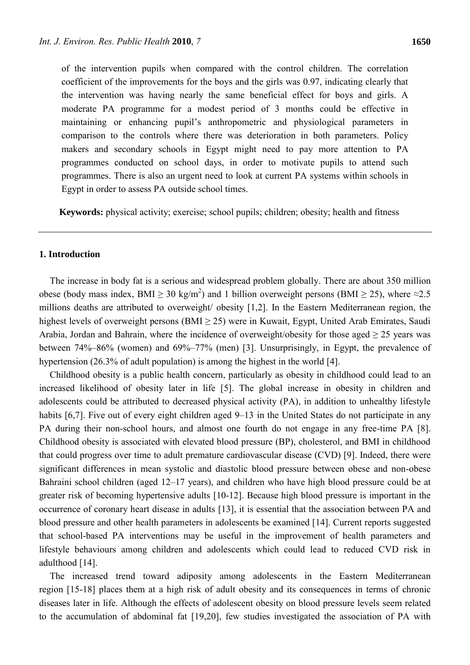of the intervention pupils when compared with the control children. The correlation coefficient of the improvements for the boys and the girls was 0.97, indicating clearly that the intervention was having nearly the same beneficial effect for boys and girls. A moderate PA programme for a modest period of 3 months could be effective in maintaining or enhancing pupil's anthropometric and physiological parameters in comparison to the controls where there was deterioration in both parameters. Policy makers and secondary schools in Egypt might need to pay more attention to PA programmes conducted on school days, in order to motivate pupils to attend such programmes. There is also an urgent need to look at current PA systems within schools in Egypt in order to assess PA outside school times.

**Keywords:** physical activity; exercise; school pupils; children; obesity; health and fitness

## **1. Introduction**

The increase in body fat is a serious and widespread problem globally. There are about 350 million obese (body mass index, BMI  $\geq 30 \text{ kg/m}^2$ ) and 1 billion overweight persons (BMI  $\geq 25$ ), where  $\approx 2.5$ millions deaths are attributed to overweight/ obesity [1,2]. In the Eastern Mediterranean region, the highest levels of overweight persons (BMI  $\geq$  25) were in Kuwait, Egypt, United Arab Emirates, Saudi Arabia, Jordan and Bahrain, where the incidence of overweight/obesity for those aged  $\geq$  25 years was between 74%–86% (women) and 69%–77% (men) [3]. Unsurprisingly, in Egypt, the prevalence of hypertension (26.3% of adult population) is among the highest in the world [4].

Childhood obesity is a public health concern, particularly as obesity in childhood could lead to an increased likelihood of obesity later in life [5]. The global increase in obesity in children and adolescents could be attributed to decreased physical activity (PA), in addition to unhealthy lifestyle habits [6,7]. Five out of every eight children aged 9–13 in the United States do not participate in any PA during their non-school hours, and almost one fourth do not engage in any free-time PA [8]. Childhood obesity is associated with elevated blood pressure (BP), cholesterol, and BMI in childhood that could progress over time to adult premature cardiovascular disease (CVD) [9]. Indeed, there were significant differences in mean systolic and diastolic blood pressure between obese and non-obese Bahraini school children (aged 12–17 years), and children who have high blood pressure could be at greater risk of becoming hypertensive adults [10-12]. Because high blood pressure is important in the occurrence of coronary heart disease in adults [13], it is essential that the association between PA and blood pressure and other health parameters in adolescents be examined [14]. Current reports suggested that school-based PA interventions may be useful in the improvement of health parameters and lifestyle behaviours among children and adolescents which could lead to reduced CVD risk in adulthood [14].

The increased trend toward adiposity among adolescents in the Eastern Mediterranean region [15-18] places them at a high risk of adult obesity and its consequences in terms of chronic diseases later in life. Although the effects of adolescent obesity on blood pressure levels seem related to the accumulation of abdominal fat [19,20], few studies investigated the association of PA with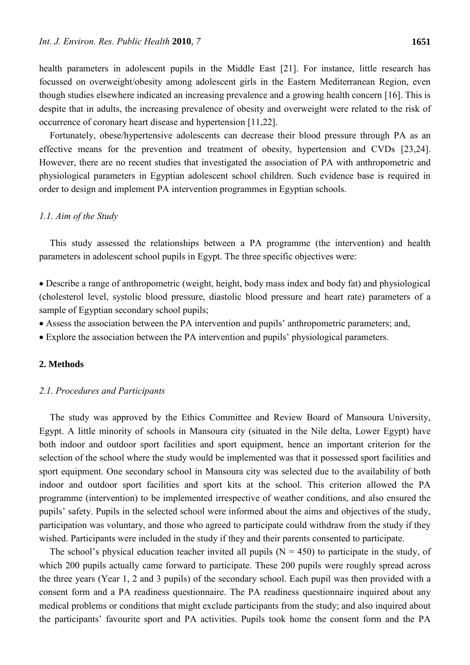health parameters in adolescent pupils in the Middle East [21]. For instance, little research has focussed on overweight/obesity among adolescent girls in the Eastern Mediterranean Region, even though studies elsewhere indicated an increasing prevalence and a growing health concern [16]. This is despite that in adults, the increasing prevalence of obesity and overweight were related to the risk of occurrence of coronary heart disease and hypertension [11,22].

Fortunately, obese/hypertensive adolescents can decrease their blood pressure through PA as an effective means for the prevention and treatment of obesity, hypertension and CVDs [23,24]. However, there are no recent studies that investigated the association of PA with anthropometric and physiological parameters in Egyptian adolescent school children. Such evidence base is required in order to design and implement PA intervention programmes in Egyptian schools.

## *1.1. Aim of the Study*

This study assessed the relationships between a PA programme (the intervention) and health parameters in adolescent school pupils in Egypt. The three specific objectives were:

 Describe a range of anthropometric (weight, height, body mass index and body fat) and physiological (cholesterol level, systolic blood pressure, diastolic blood pressure and heart rate) parameters of a sample of Egyptian secondary school pupils;

- Assess the association between the PA intervention and pupils' anthropometric parameters; and,
- Explore the association between the PA intervention and pupils' physiological parameters.

## **2. Methods**

## *2.1. Procedures and Participants*

The study was approved by the Ethics Committee and Review Board of Mansoura University, Egypt. A little minority of schools in Mansoura city (situated in the Nile delta, Lower Egypt) have both indoor and outdoor sport facilities and sport equipment, hence an important criterion for the selection of the school where the study would be implemented was that it possessed sport facilities and sport equipment. One secondary school in Mansoura city was selected due to the availability of both indoor and outdoor sport facilities and sport kits at the school. This criterion allowed the PA programme (intervention) to be implemented irrespective of weather conditions, and also ensured the pupils' safety. Pupils in the selected school were informed about the aims and objectives of the study, participation was voluntary, and those who agreed to participate could withdraw from the study if they wished. Participants were included in the study if they and their parents consented to participate.

The school's physical education teacher invited all pupils  $(N = 450)$  to participate in the study, of which 200 pupils actually came forward to participate. These 200 pupils were roughly spread across the three years (Year 1, 2 and 3 pupils) of the secondary school. Each pupil was then provided with a consent form and a PA readiness questionnaire. The PA readiness questionnaire inquired about any medical problems or conditions that might exclude participants from the study; and also inquired about the participants' favourite sport and PA activities. Pupils took home the consent form and the PA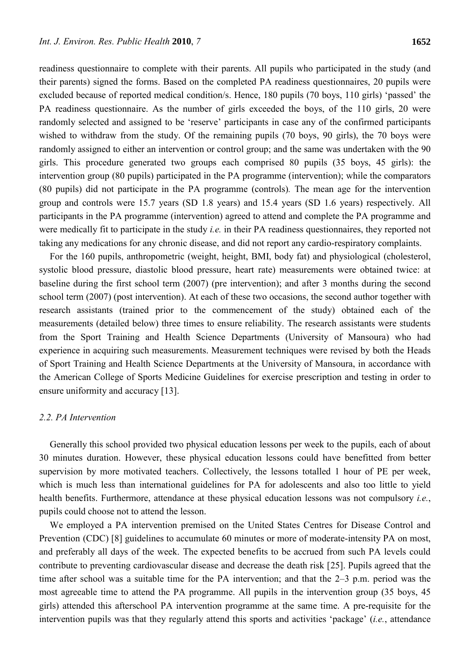readiness questionnaire to complete with their parents. All pupils who participated in the study (and their parents) signed the forms. Based on the completed PA readiness questionnaires, 20 pupils were excluded because of reported medical condition/s. Hence, 180 pupils (70 boys, 110 girls) 'passed' the PA readiness questionnaire. As the number of girls exceeded the boys, of the 110 girls, 20 were randomly selected and assigned to be 'reserve' participants in case any of the confirmed participants wished to withdraw from the study. Of the remaining pupils (70 boys, 90 girls), the 70 boys were randomly assigned to either an intervention or control group; and the same was undertaken with the 90 girls. This procedure generated two groups each comprised 80 pupils (35 boys, 45 girls): the intervention group (80 pupils) participated in the PA programme (intervention); while the comparators (80 pupils) did not participate in the PA programme (controls)*.* The mean age for the intervention group and controls were 15.7 years (SD 1.8 years) and 15.4 years (SD 1.6 years) respectively. All participants in the PA programme (intervention) agreed to attend and complete the PA programme and were medically fit to participate in the study *i.e.* in their PA readiness questionnaires, they reported not taking any medications for any chronic disease, and did not report any cardio-respiratory complaints.

For the 160 pupils, anthropometric (weight, height, BMI, body fat) and physiological (cholesterol, systolic blood pressure, diastolic blood pressure, heart rate) measurements were obtained twice: at baseline during the first school term (2007) (pre intervention); and after 3 months during the second school term (2007) (post intervention). At each of these two occasions, the second author together with research assistants (trained prior to the commencement of the study) obtained each of the measurements (detailed below) three times to ensure reliability. The research assistants were students from the Sport Training and Health Science Departments (University of Mansoura) who had experience in acquiring such measurements. Measurement techniques were revised by both the Heads of Sport Training and Health Science Departments at the University of Mansoura, in accordance with the American College of Sports Medicine Guidelines for exercise prescription and testing in order to ensure uniformity and accuracy [13].

## *2.2. PA Intervention*

Generally this school provided two physical education lessons per week to the pupils, each of about 30 minutes duration. However, these physical education lessons could have benefitted from better supervision by more motivated teachers. Collectively, the lessons totalled 1 hour of PE per week, which is much less than international guidelines for PA for adolescents and also too little to yield health benefits. Furthermore, attendance at these physical education lessons was not compulsory *i.e.*, pupils could choose not to attend the lesson.

We employed a PA intervention premised on the United States Centres for Disease Control and Prevention (CDC) [8] guidelines to accumulate 60 minutes or more of moderate-intensity PA on most, and preferably all days of the week. The expected benefits to be accrued from such PA levels could contribute to preventing cardiovascular disease and decrease the death risk [25]. Pupils agreed that the time after school was a suitable time for the PA intervention; and that the 2–3 p.m. period was the most agreeable time to attend the PA programme. All pupils in the intervention group (35 boys, 45 girls) attended this afterschool PA intervention programme at the same time. A pre-requisite for the intervention pupils was that they regularly attend this sports and activities 'package' (*i.e.*, attendance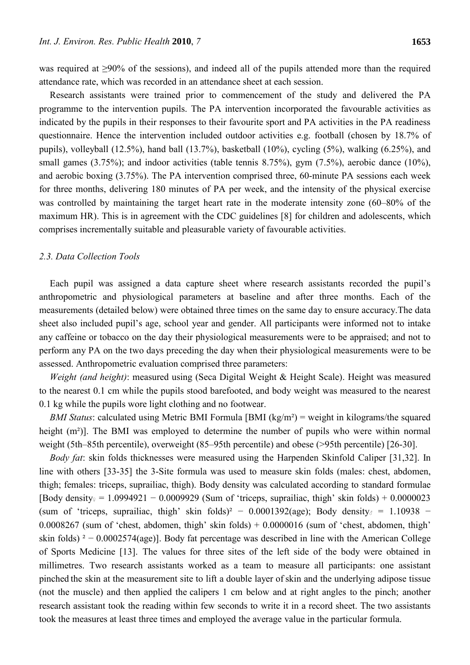was required at ≥90% of the sessions), and indeed all of the pupils attended more than the required attendance rate, which was recorded in an attendance sheet at each session.

Research assistants were trained prior to commencement of the study and delivered the PA programme to the intervention pupils. The PA intervention incorporated the favourable activities as indicated by the pupils in their responses to their favourite sport and PA activities in the PA readiness questionnaire. Hence the intervention included outdoor activities e.g. football (chosen by 18.7% of pupils), volleyball (12.5%), hand ball (13.7%), basketball (10%), cycling (5%), walking (6.25%), and small games (3.75%); and indoor activities (table tennis 8.75%), gym (7.5%), aerobic dance (10%), and aerobic boxing (3.75%). The PA intervention comprised three, 60-minute PA sessions each week for three months, delivering 180 minutes of PA per week, and the intensity of the physical exercise was controlled by maintaining the target heart rate in the moderate intensity zone (60–80% of the maximum HR). This is in agreement with the CDC guidelines [8] for children and adolescents, which comprises incrementally suitable and pleasurable variety of favourable activities.

# *2.3. Data Collection Tools*

Each pupil was assigned a data capture sheet where research assistants recorded the pupil's anthropometric and physiological parameters at baseline and after three months. Each of the measurements (detailed below) were obtained three times on the same day to ensure accuracy.The data sheet also included pupil's age, school year and gender. All participants were informed not to intake any caffeine or tobacco on the day their physiological measurements were to be appraised; and not to perform any PA on the two days preceding the day when their physiological measurements were to be assessed. Anthropometric evaluation comprised three parameters:

*Weight (and height)*: measured using (Seca Digital Weight & Height Scale). Height was measured to the nearest 0.1 cm while the pupils stood barefooted, and body weight was measured to the nearest 0.1 kg while the pupils wore light clothing and no footwear.

*BMI Status*: calculated using Metric BMI Formula [BMI (kg/m<sup>2</sup>) = weight in kilograms/the squared height (m<sup>2</sup>)]. The BMI was employed to determine the number of pupils who were within normal weight (5th–85th percentile), overweight (85–95th percentile) and obese (>95th percentile) [26-30].

*Body fat*: skin folds thicknesses were measured using the Harpenden Skinfold Caliper [31,32]. In line with others [33-35] the 3-Site formula was used to measure skin folds (males: chest, abdomen, thigh; females: triceps, suprailiac, thigh). Body density was calculated according to standard formulae [Body density♀ = 1.0994921 – 0.0009929 (Sum of 'triceps, suprailiac, thigh' skin folds) + 0.0000023 (sum of 'triceps, suprailiac, thigh' skin folds)<sup>2</sup> – 0.0001392(age); Body density<sub> $\delta$ </sub> = 1.10938 –  $0.0008267$  (sum of 'chest, abdomen, thigh' skin folds) +  $0.0000016$  (sum of 'chest, abdomen, thigh' skin folds) ² − 0.0002574(age)]. Body fat percentage was described in line with the American College of Sports Medicine [13]. The values for three sites of the left side of the body were obtained in millimetres. Two research assistants worked as a team to measure all participants: one assistant pinched the skin at the measurement site to lift a double layer of skin and the underlying adipose tissue (not the muscle) and then applied the calipers 1 cm below and at right angles to the pinch; another research assistant took the reading within few seconds to write it in a record sheet. The two assistants took the measures at least three times and employed the average value in the particular formula.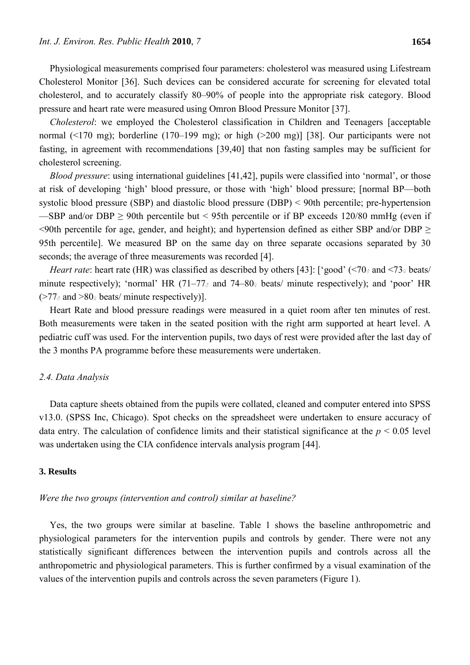Physiological measurements comprised four parameters: cholesterol was measured using Lifestream Cholesterol Monitor [36]. Such devices can be considered accurate for screening for elevated total cholesterol, and to accurately classify 80–90% of people into the appropriate risk category. Blood pressure and heart rate were measured using Omron Blood Pressure Monitor [37].

*Cholesterol*: we employed the Cholesterol classification in Children and Teenagers [acceptable normal (<170 mg); borderline (170–199 mg); or high (>200 mg)] [38]. Our participants were not fasting, in agreement with recommendations [39,40] that non fasting samples may be sufficient for cholesterol screening.

*Blood pressure*: using international guidelines [41,42], pupils were classified into 'normal', or those at risk of developing 'high' blood pressure, or those with 'high' blood pressure; [normal BP—both systolic blood pressure (SBP) and diastolic blood pressure (DBP) < 90th percentile; pre-hypertension —SBP and/or DBP  $\geq$  90th percentile but < 95th percentile or if BP exceeds 120/80 mmHg (even if  $\leq$ 90th percentile for age, gender, and height); and hypertension defined as either SBP and/or DBP  $\geq$ 95th percentile]. We measured BP on the same day on three separate occasions separated by 30 seconds; the average of three measurements was recorded [4].

*Heart rate*: heart rate (HR) was classified as described by others [43]: ['good' (<70<sub>*®*</sub> and <73<sub>*°</sub>* beats/</sub> minute respectively); 'normal' HR  $(71–77)$  and  $74–80$  beats/ minute respectively); and 'poor' HR  $($ >77 $_{\text{d}}$  and >80 $_{\text{d}}$  beats/ minute respectively)].

Heart Rate and blood pressure readings were measured in a quiet room after ten minutes of rest. Both measurements were taken in the seated position with the right arm supported at heart level. A pediatric cuff was used. For the intervention pupils, two days of rest were provided after the last day of the 3 months PA programme before these measurements were undertaken.

## *2.4. Data Analysis*

Data capture sheets obtained from the pupils were collated, cleaned and computer entered into SPSS v13.0. (SPSS Inc, Chicago). Spot checks on the spreadsheet were undertaken to ensure accuracy of data entry. The calculation of confidence limits and their statistical significance at the *p* < 0.05 level was undertaken using the CIA confidence intervals analysis program [44].

### **3. Results**

#### *Were the two groups (intervention and control) similar at baseline?*

Yes, the two groups were similar at baseline. Table 1 shows the baseline anthropometric and physiological parameters for the intervention pupils and controls by gender. There were not any statistically significant differences between the intervention pupils and controls across all the anthropometric and physiological parameters. This is further confirmed by a visual examination of the values of the intervention pupils and controls across the seven parameters (Figure 1).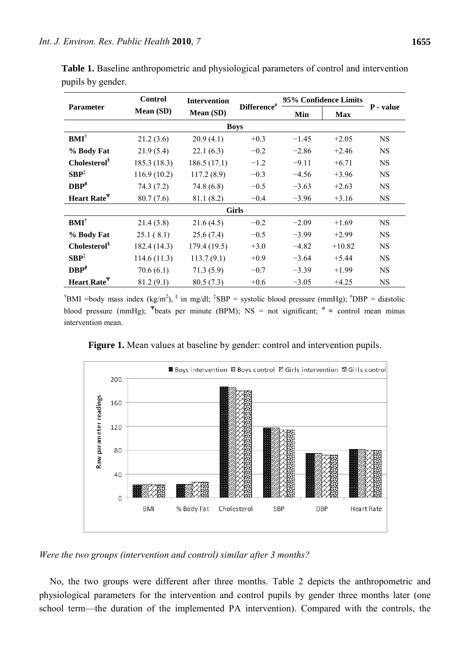| <b>Parameter</b>                        | <b>Control</b> | <b>Intervention</b><br>Mean (SD) |                         |         | 95% Confidence Limits |           |  |  |
|-----------------------------------------|----------------|----------------------------------|-------------------------|---------|-----------------------|-----------|--|--|
|                                         | Mean (SD)      |                                  | Difference <sup>a</sup> | Min     | <b>Max</b>            | P - value |  |  |
| <b>Boys</b>                             |                |                                  |                         |         |                       |           |  |  |
| $BMI^{\dagger}$                         | 21.2(3.6)      | 20.9(4.1)                        | $+0.3$                  | $-1.45$ | $+2.05$               | <b>NS</b> |  |  |
| % Body Fat                              | 21.9(5.4)      | 22.1(6.3)                        | $-0.2$                  | $-2.86$ | $+2.46$               | NS        |  |  |
| Cholesterol <sup>§</sup>                | 185.3 (18.3)   | 186.5(17.1)                      | $-1.2$                  | $-9.11$ | $+6.71$               | <b>NS</b> |  |  |
| $SBP^{\ddagger}$                        | 116.9(10.2)    | 117.2(8.9)                       | $-0.3$                  | $-4.56$ | $+3.96$               | NS        |  |  |
| $DBP$ <sup>#</sup>                      | 74.3(7.2)      | 74.8(6.8)                        | $-0.5$                  | $-3.63$ | $+2.63$               | <b>NS</b> |  |  |
| Heart Rate <sup><math>\Psi</math></sup> | 80.7(7.6)      | 81.1 (8.2)                       | $-0.4$                  | $-3.96$ | $+3.16$               | NS.       |  |  |
| <b>Girls</b>                            |                |                                  |                         |         |                       |           |  |  |
| $BMI^{\dagger}$                         | 21.4(3.8)      | 21.6(4.5)                        | $-0.2$                  | $-2.09$ | $+1.69$               | <b>NS</b> |  |  |
| % Body Fat                              | 25.1(8.1)      | 25.6(7.4)                        | $-0.5$                  | $-3.99$ | $+2.99$               | NS        |  |  |
| Cholesterol <sup>§</sup>                | 182.4 (14.3)   | 179.4 (19.5)                     | $+3.0$                  | $-4.82$ | $+10.82$              | <b>NS</b> |  |  |
| $SBP$ <sup><math>\ddag</math></sup>     | 114.6(11.3)    | 113.7(9.1)                       | $+0.9$                  | $-3.64$ | $+5.44$               | NS        |  |  |
| $DBP$ <sup>#</sup>                      | 70.6(6.1)      | 71.3(5.9)                        | $-0.7$                  | $-3.39$ | $+1.99$               | <b>NS</b> |  |  |
| Heart Rate <sup><math>\Psi</math></sup> | 81.2(9.1)      | 80.5(7.3)                        | $+0.6$                  | $-3.05$ | $+4.25$               | NS        |  |  |

**Table 1.** Baseline anthropometric and physiological parameters of control and intervention pupils by gender.

<sup>†</sup>BMI =body mass index (kg/m<sup>2</sup>), <sup>§</sup> in mg/dl; <sup>‡</sup>SBP = systolic blood pressure (mmHg); <sup>#</sup>DBP = diastolic blood pressure (mmHg); <sup> $\Psi$ </sup>beats per minute (BPM); NS = not significant;  $a =$  control mean minus intervention mean.



**Figure 1.** Mean values at baseline by gender: control and intervention pupils.

*Were the two groups (intervention and control) similar after 3 months?* 

No, the two groups were different after three months. Table 2 depicts the anthropometric and physiological parameters for the intervention and control pupils by gender three months later (one school term—the duration of the implemented PA intervention). Compared with the controls, the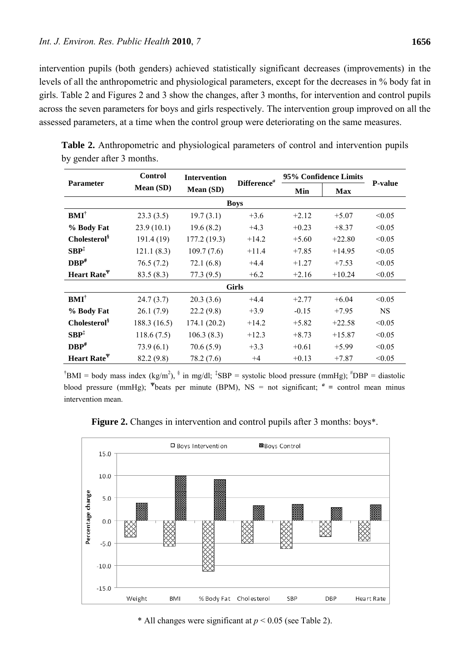intervention pupils (both genders) achieved statistically significant decreases (improvements) in the levels of all the anthropometric and physiological parameters, except for the decreases in % body fat in girls. Table 2 and Figures 2 and 3 show the changes, after 3 months, for intervention and control pupils across the seven parameters for boys and girls respectively. The intervention group improved on all the assessed parameters, at a time when the control group were deteriorating on the same measures.

| <b>Parameter</b>         | <b>Control</b> | <b>Intervention</b><br>Mean (SD) | Difference <sup>a</sup> | 95% Confidence Limits |            |                |  |  |
|--------------------------|----------------|----------------------------------|-------------------------|-----------------------|------------|----------------|--|--|
|                          | Mean (SD)      |                                  |                         | Min                   | <b>Max</b> | <b>P-value</b> |  |  |
| <b>Boys</b>              |                |                                  |                         |                       |            |                |  |  |
| $BMI^{\dagger}$          | 23.3(3.5)      | 19.7(3.1)                        | $+3.6$                  | $+2.12$               | $+5.07$    | < 0.05         |  |  |
| % Body Fat               | 23.9(10.1)     | 19.6(8.2)                        | $+4.3$                  | $+0.23$               | $+8.37$    | < 0.05         |  |  |
| Cholesterol <sup>§</sup> | 191.4 (19)     | 177.2(19.3)                      | $+14.2$                 | $+5.60$               | $+22.80$   | < 0.05         |  |  |
| SBP <sup>‡</sup>         | 121.1(8.3)     | 109.7(7.6)                       | $+11.4$                 | $+7.85$               | $+14.95$   | < 0.05         |  |  |
| $DBP$ <sup>#</sup>       | 76.5(7.2)      | 72.1(6.8)                        | $+4.4$                  | $+1.27$               | $+7.53$    | < 0.05         |  |  |
| Heart Rate <sup>\v</sup> | 83.5(8.3)      | 77.3(9.5)                        | $+6.2$                  | $+2.16$               | $+10.24$   | < 0.05         |  |  |
| <b>Girls</b>             |                |                                  |                         |                       |            |                |  |  |
| $\mathbf{BMI}^\dagger$   | 24.7(3.7)      | 20.3(3.6)                        | $+4.4$                  | $+2.77$               | $+6.04$    | < 0.05         |  |  |
| % Body Fat               | 26.1(7.9)      | 22.2(9.8)                        | $+3.9$                  | $-0.15$               | $+7.95$    | <b>NS</b>      |  |  |
| Cholesterol <sup>§</sup> | 188.3 (16.5)   | 174.1(20.2)                      | $+14.2$                 | $+5.82$               | $+22.58$   | < 0.05         |  |  |
| SBP <sup>‡</sup>         | 118.6(7.5)     | 106.3(8.3)                       | $+12.3$                 | $+8.73$               | $+15.87$   | < 0.05         |  |  |
| $DBP$ <sup>#</sup>       | 73.9(6.1)      | 70.6(5.9)                        | $+3.3$                  | $+0.61$               | $+5.99$    | < 0.05         |  |  |
| Heart Rate <sup>\v</sup> | 82.2 (9.8)     | 78.2 (7.6)                       | $+4$                    | $+0.13$               | $+7.87$    | < 0.05         |  |  |

**Table 2.** Anthropometric and physiological parameters of control and intervention pupils by gender after 3 months.

<sup>†</sup>BMI = body mass index (kg/m<sup>2</sup>), <sup>§</sup> in mg/dl; <sup>‡</sup>SBP = systolic blood pressure (mmHg); <sup>#</sup>DBP = diastolic blood pressure (mmHg); <sup> $\Psi$ </sup>beats per minute (BPM), NS = not significant;  $a =$  control mean minus intervention mean.

**Figure 2.** Changes in intervention and control pupils after 3 months: boys\*.



\* All changes were significant at  $p < 0.05$  (see Table 2).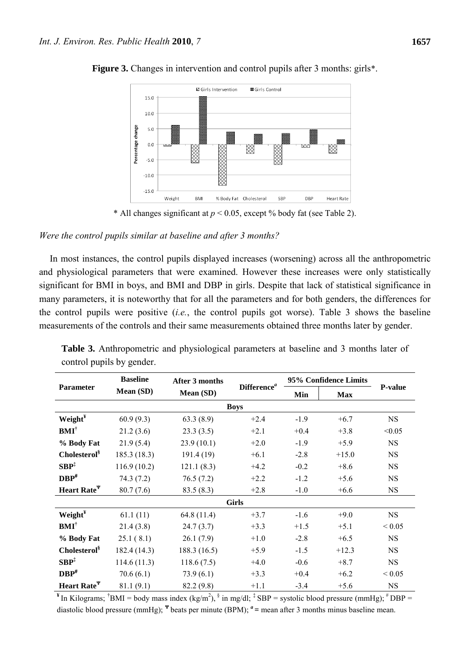

**Figure 3.** Changes in intervention and control pupils after 3 months: girls\*.

\* All changes significant at *p* < 0.05, except % body fat (see Table 2).

## *Were the control pupils similar at baseline and after 3 months?*

In most instances, the control pupils displayed increases (worsening) across all the anthropometric and physiological parameters that were examined. However these increases were only statistically significant for BMI in boys, and BMI and DBP in girls. Despite that lack of statistical significance in many parameters, it is noteworthy that for all the parameters and for both genders, the differences for the control pupils were positive (*i.e.*, the control pupils got worse). Table 3 shows the baseline measurements of the controls and their same measurements obtained three months later by gender.

| <b>Parameter</b>         | <b>Baseline</b> | <b>After 3 months</b> | Difference <sup>a</sup> | 95% Confidence Limits |            |            |  |  |
|--------------------------|-----------------|-----------------------|-------------------------|-----------------------|------------|------------|--|--|
|                          | Mean (SD)       | Mean (SD)             |                         | Min                   | <b>Max</b> | P-value    |  |  |
| <b>Boys</b>              |                 |                       |                         |                       |            |            |  |  |
| Weight <sup>¥</sup>      | 60.9(9.3)       | 63.3(8.9)             | $+2.4$                  | $-1.9$                | $+6.7$     | <b>NS</b>  |  |  |
| $BMI^{\dagger}$          | 21.2(3.6)       | 23.3(3.5)             | $+2.1$                  | $+0.4$                | $+3.8$     | < 0.05     |  |  |
| % Body Fat               | 21.9(5.4)       | 23.9(10.1)            | $+2.0$                  | $-1.9$                | $+5.9$     | <b>NS</b>  |  |  |
| Cholesterol <sup>§</sup> | 185.3 (18.3)    | 191.4 (19)            | $+6.1$                  | $-2.8$                | $+15.0$    | <b>NS</b>  |  |  |
| $SBP^{\ddagger}$         | 116.9(10.2)     | 121.1(8.3)            | $+4.2$                  | $-0.2$                | $+8.6$     | <b>NS</b>  |  |  |
| $DBP$ <sup>#</sup>       | 74.3(7.2)       | 76.5(7.2)             | $+2.2$                  | $-1.2$                | $+5.6$     | <b>NS</b>  |  |  |
| Heart Rate <sup>\v</sup> | 80.7(7.6)       | 83.5(8.3)             | $+2.8$                  | $-1.0$                | $+6.6$     | <b>NS</b>  |  |  |
| <b>Girls</b>             |                 |                       |                         |                       |            |            |  |  |
| Weight <sup>¥</sup>      | 61.1(11)        | 64.8 (11.4)           | $+3.7$                  | $-1.6$                | $+9.0$     | <b>NS</b>  |  |  |
| $BMI^{\dagger}$          | 21.4(3.8)       | 24.7(3.7)             | $+3.3$                  | $+1.5$                | $+5.1$     | ${}< 0.05$ |  |  |
| % Body Fat               | 25.1(8.1)       | 26.1(7.9)             | $+1.0$                  | $-2.8$                | $+6.5$     | <b>NS</b>  |  |  |
| Cholesterol <sup>§</sup> | 182.4 (14.3)    | 188.3 (16.5)          | $+5.9$                  | $-1.5$                | $+12.3$    | <b>NS</b>  |  |  |
| SBP <sup>‡</sup>         | 114.6(11.3)     | 118.6(7.5)            | $+4.0$                  | $-0.6$                | $+8.7$     | <b>NS</b>  |  |  |
| $DBP$ <sup>#</sup>       | 70.6(6.1)       | 73.9(6.1)             | $+3.3$                  | $+0.4$                | $+6.2$     | ${}< 0.05$ |  |  |
| Heart Rate <sup>Y</sup>  | 81.1(9.1)       | 82.2 (9.8)            | $+1.1$                  | $-3.4$                | $+5.6$     | <b>NS</b>  |  |  |

**Table 3.** Anthropometric and physiological parameters at baseline and 3 months later of control pupils by gender.

<sup>**¥</sup>In Kilograms;** <sup>†</sup>BMI = body mass index (kg/m<sup>2</sup>), <sup>§</sup> in mg/dl; <sup>‡</sup> SBP = systolic blood pressure (mmHg); <sup>#</sup> DBP =</sup> diastolic blood pressure (mmHg); <sup> $\Psi$ </sup> beats per minute (BPM); <sup>*a*</sup> = mean after 3 months minus baseline mean.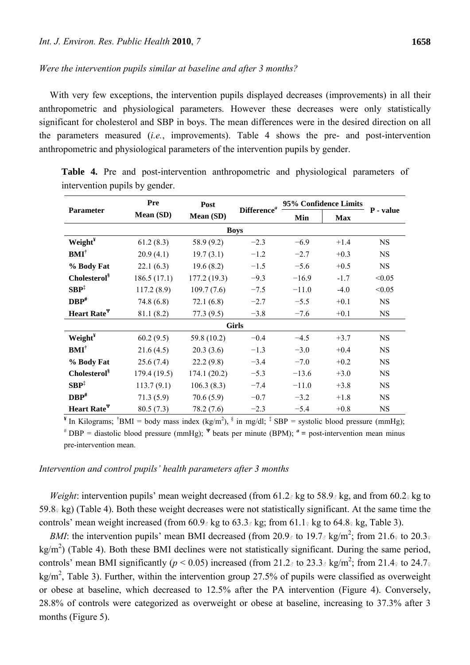## *Were the intervention pupils similar at baseline and after 3 months?*

With very few exceptions, the intervention pupils displayed decreases (improvements) in all their anthropometric and physiological parameters. However these decreases were only statistically significant for cholesterol and SBP in boys. The mean differences were in the desired direction on all the parameters measured (*i.e.*, improvements). Table 4 shows the pre- and post-intervention anthropometric and physiological parameters of the intervention pupils by gender.

| <b>Parameter</b>         | Pre          | Post        | Difference <sup>a</sup> | 95% Confidence Limits |            |           |  |  |
|--------------------------|--------------|-------------|-------------------------|-----------------------|------------|-----------|--|--|
|                          | Mean (SD)    | Mean (SD)   |                         | Min                   | <b>Max</b> | P - value |  |  |
| <b>Boys</b>              |              |             |                         |                       |            |           |  |  |
| Weight <sup>¥</sup>      | 61.2(8.3)    | 58.9 (9.2)  | $-2.3$                  | $-6.9$                | $+1.4$     | NS.       |  |  |
| $BMI^{\dagger}$          | 20.9(4.1)    | 19.7(3.1)   | $-1.2$                  | $-2.7$                | $+0.3$     | <b>NS</b> |  |  |
| % Body Fat               | 22.1(6.3)    | 19.6(8.2)   | $-1.5$                  | $-5.6$                | $+0.5$     | <b>NS</b> |  |  |
| Cholesterol <sup>§</sup> | 186.5(17.1)  | 177.2(19.3) | $-9.3$                  | $-16.9$               | $-1.7$     | < 0.05    |  |  |
| $SBP^{\ddagger}$         | 117.2(8.9)   | 109.7(7.6)  | $-7.5$                  | $-11.0$               | $-4.0$     | < 0.05    |  |  |
| $DBP^*$                  | 74.8 (6.8)   | 72.1(6.8)   | $-2.7$                  | $-5.5$                | $+0.1$     | <b>NS</b> |  |  |
| Heart Rate <sup>\v</sup> | 81.1(8.2)    | 77.3(9.5)   | $-3.8$                  | $-7.6$                | $+0.1$     | <b>NS</b> |  |  |
| <b>Girls</b>             |              |             |                         |                       |            |           |  |  |
| Weight <sup>¥</sup>      | 60.2(9.5)    | 59.8 (10.2) | $-0.4$                  | $-4.5$                | $+3.7$     | NS        |  |  |
| $BMI^{\dagger}$          | 21.6(4.5)    | 20.3(3.6)   | $-1.3$                  | $-3.0$                | $+0.4$     | <b>NS</b> |  |  |
| % Body Fat               | 25.6(7.4)    | 22.2(9.8)   | $-3.4$                  | $-7.0$                | $+0.2$     | <b>NS</b> |  |  |
| Cholesterol <sup>§</sup> | 179.4 (19.5) | 174.1(20.2) | $-5.3$                  | $-13.6$               | $+3.0$     | <b>NS</b> |  |  |
| $SBP^{\ddagger}$         | 113.7(9.1)   | 106.3(8.3)  | $-7.4$                  | $-11.0$               | $+3.8$     | <b>NS</b> |  |  |
| $DBP^*$                  | 71.3(5.9)    | 70.6(5.9)   | $-0.7$                  | $-3.2$                | $+1.8$     | NS        |  |  |
| Heart Rate <sup>Y</sup>  | 80.5(7.3)    | 78.2 (7.6)  | $-2.3$                  | $-5.4$                | $+0.8$     | <b>NS</b> |  |  |

**Table 4.** Pre and post-intervention anthropometric and physiological parameters of intervention pupils by gender.

 $\mathbf{H}$  In Kilograms; <sup>†</sup>BMI = body mass index (kg/m<sup>2</sup>), <sup>§</sup> in mg/dl; <sup>‡</sup> SBP = systolic blood pressure (mmHg); DBP = diastolic blood pressure (mmHg); **<sup>Ψ</sup>** beats per minute (BPM); *<sup>a</sup>* **=** post-intervention mean minus pre-intervention mean.

#### *Intervention and control pupils' health parameters after 3 months*

*Weight*: intervention pupils' mean weight decreased (from 61.2<sup>o</sup> kg to 58.9<sup>o</sup> kg, and from 60.2<sup>o</sup> kg to  $59.8\frac{\text{g}}{\text{s}}$  (Table 4). Both these weight decreases were not statistically significant. At the same time the controls' mean weight increased (from  $60.9<sub>°</sub>$  kg to  $63.3<sub>°</sub>$  kg; from  $61.1<sub>°</sub>$  kg to  $64.8<sub>°</sub>$  kg, Table 3).

*BMI*: the intervention pupils' mean BMI decreased (from 20.9<sub>*d*</sub> to 19.7<sub>*d*</sub> kg/m<sup>2</sup>; from 21.6<sub>°</sub> to 20.3<sup>°</sup>  $\text{kg/m}^2$ ) (Table 4). Both these BMI declines were not statistically significant. During the same period, controls' mean BMI significantly ( $p < 0.05$ ) increased (from 21.2<sub>*d*</sub> to 23.3<sub>*d*</sub> kg/m<sup>2</sup>; from 21.4<sup>*g*</sup> to 24.7*g* kg/m<sup>2</sup>, Table 3). Further, within the intervention group 27.5% of pupils were classified as overweight or obese at baseline, which decreased to 12.5% after the PA intervention (Figure 4). Conversely, 28.8% of controls were categorized as overweight or obese at baseline, increasing to 37.3% after 3 months (Figure 5).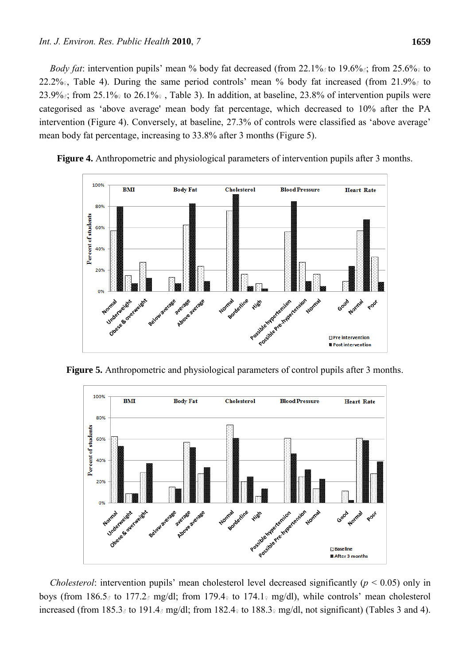*Body fat*: intervention pupils' mean % body fat decreased (from 22.1% to 19.6%; from 25.6% to 22.2% $\epsilon$ , Table 4). During the same period controls' mean % body fat increased (from 21.9% $\epsilon$  to 23.9%; from 25.1% to 26.1% and Table 3). In addition, at baseline, 23.8% of intervention pupils were categorised as 'above average' mean body fat percentage, which decreased to 10% after the PA intervention (Figure 4). Conversely, at baseline, 27.3% of controls were classified as 'above average' mean body fat percentage, increasing to 33.8% after 3 months (Figure 5).



**Figure 4.** Anthropometric and physiological parameters of intervention pupils after 3 months.

**Figure 5.** Anthropometric and physiological parameters of control pupils after 3 months.



*Cholesterol*: intervention pupils' mean cholesterol level decreased significantly (*p* < 0.05) only in boys (from 186.5 $\delta$  to 177.2 $\delta$  mg/dl; from 179.4 $\delta$  to 174.1 $\delta$  mg/dl), while controls' mean cholesterol increased (from 185.3<sup> $\sigma$ </sup> to 191.4 $\sigma$  mg/dl; from 182.4 $\sigma$  to 188.3 $\sigma$  mg/dl, not significant) (Tables 3 and 4).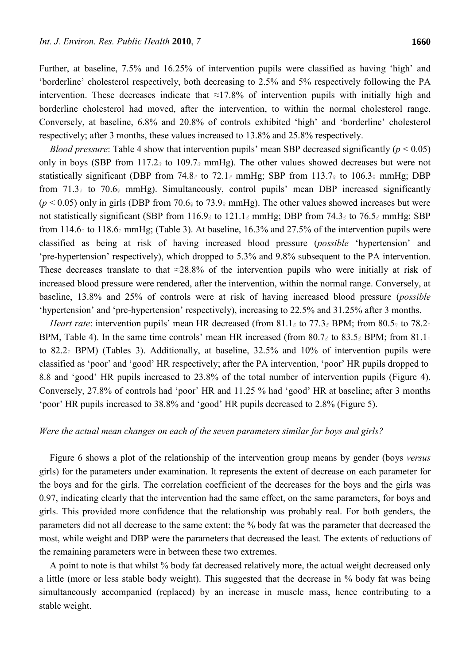Further, at baseline, 7.5% and 16.25% of intervention pupils were classified as having 'high' and 'borderline' cholesterol respectively, both decreasing to 2.5% and 5% respectively following the PA intervention. These decreases indicate that  $\approx$ 17.8% of intervention pupils with initially high and borderline cholesterol had moved, after the intervention, to within the normal cholesterol range. Conversely, at baseline, 6.8% and 20.8% of controls exhibited 'high' and 'borderline' cholesterol respectively; after 3 months, these values increased to 13.8% and 25.8% respectively.

*Blood pressure*: Table 4 show that intervention pupils' mean SBP decreased significantly ( $p < 0.05$ ) only in boys (SBP from 117.2 $\delta$  to 109.7 $\delta$  mmHg). The other values showed decreases but were not statistically significant (DBP from 74.8 $\delta$  to 72.1 $\delta$  mmHg; SBP from 113.7 $\epsilon$  to 106.3 $\epsilon$  mmHg; DBP from 71.3 $\frac{1}{2}$  to 70.6 $\frac{1}{2}$  mmHg). Simultaneously, control pupils' mean DBP increased significantly  $(p < 0.05)$  only in girls (DBP from 70.6<sup> $\alpha$ </sup> to 73.9 $\alpha$  mmHg). The other values showed increases but were not statistically significant (SBP from 116.9 $\delta$  to 121.1 $\delta$  mmHg; DBP from 74.3 $\delta$  to 76.5 $\delta$  mmHg; SBP from 114.6 $\frac{1}{2}$  to 118.6 $\frac{1}{2}$  mmHg; (Table 3). At baseline, 16.3% and 27.5% of the intervention pupils were classified as being at risk of having increased blood pressure (*possible* 'hypertension' and 'pre-hypertension' respectively), which dropped to 5.3% and 9.8% subsequent to the PA intervention. These decreases translate to that  $\approx 28.8\%$  of the intervention pupils who were initially at risk of increased blood pressure were rendered, after the intervention, within the normal range. Conversely, at baseline, 13.8% and 25% of controls were at risk of having increased blood pressure (*possible* 'hypertension' and 'pre-hypertension' respectively), increasing to 22.5% and 31.25% after 3 months.

*Heart rate*: intervention pupils' mean HR decreased (from 81.1 ∂ to 77.3 ∂ BPM; from 80.5 ↓ to 78.2 ↓ BPM, Table 4). In the same time controls' mean HR increased (from 80.7 $\delta$  to 83.5 $\delta$  BPM; from 81.1 $\epsilon$ to 82.2 $\frac{1}{2}$  BPM) (Tables 3). Additionally, at baseline, 32.5% and 10% of intervention pupils were classified as 'poor' and 'good' HR respectively; after the PA intervention, 'poor' HR pupils dropped to 8.8 and 'good' HR pupils increased to 23.8% of the total number of intervention pupils (Figure 4). Conversely, 27.8% of controls had 'poor' HR and 11.25 % had 'good' HR at baseline; after 3 months 'poor' HR pupils increased to 38.8% and 'good' HR pupils decreased to 2.8% (Figure 5).

#### *Were the actual mean changes on each of the seven parameters similar for boys and girls?*

Figure 6 shows a plot of the relationship of the intervention group means by gender (boys *versus* girls) for the parameters under examination. It represents the extent of decrease on each parameter for the boys and for the girls. The correlation coefficient of the decreases for the boys and the girls was 0.97, indicating clearly that the intervention had the same effect, on the same parameters, for boys and girls. This provided more confidence that the relationship was probably real. For both genders, the parameters did not all decrease to the same extent: the % body fat was the parameter that decreased the most, while weight and DBP were the parameters that decreased the least. The extents of reductions of the remaining parameters were in between these two extremes.

A point to note is that whilst % body fat decreased relatively more, the actual weight decreased only a little (more or less stable body weight). This suggested that the decrease in % body fat was being simultaneously accompanied (replaced) by an increase in muscle mass, hence contributing to a stable weight.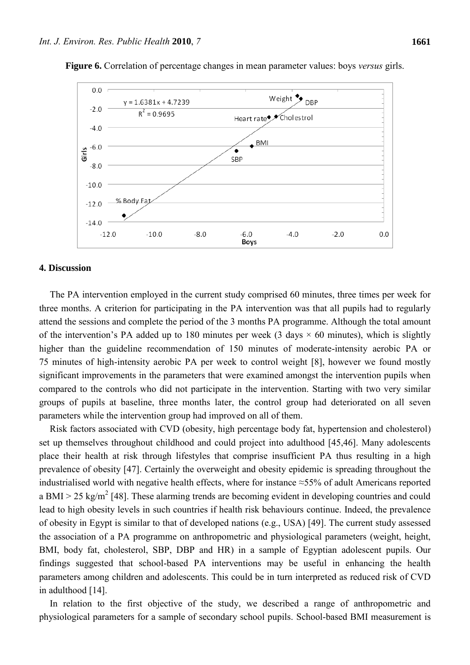

**Figure 6.** Correlation of percentage changes in mean parameter values: boys *versus* girls.

#### **4. Discussion**

The PA intervention employed in the current study comprised 60 minutes, three times per week for three months. A criterion for participating in the PA intervention was that all pupils had to regularly attend the sessions and complete the period of the 3 months PA programme. Although the total amount of the intervention's PA added up to 180 minutes per week (3 days  $\times$  60 minutes), which is slightly higher than the guideline recommendation of 150 minutes of moderate-intensity aerobic PA or 75 minutes of high-intensity aerobic PA per week to control weight [8], however we found mostly significant improvements in the parameters that were examined amongst the intervention pupils when compared to the controls who did not participate in the intervention. Starting with two very similar groups of pupils at baseline, three months later, the control group had deteriorated on all seven parameters while the intervention group had improved on all of them.

Risk factors associated with CVD (obesity, high percentage body fat, hypertension and cholesterol) set up themselves throughout childhood and could project into adulthood [45,46]. Many adolescents place their health at risk through lifestyles that comprise insufficient PA thus resulting in a high prevalence of obesity [47]. Certainly the overweight and obesity epidemic is spreading throughout the industrialised world with negative health effects, where for instance ≈55% of adult Americans reported a BMI  $>$  25 kg/m<sup>2</sup> [48]. These alarming trends are becoming evident in developing countries and could lead to high obesity levels in such countries if health risk behaviours continue. Indeed, the prevalence of obesity in Egypt is similar to that of developed nations (e.g., USA) [49]. The current study assessed the association of a PA programme on anthropometric and physiological parameters (weight, height, BMI, body fat, cholesterol, SBP, DBP and HR) in a sample of Egyptian adolescent pupils. Our findings suggested that school-based PA interventions may be useful in enhancing the health parameters among children and adolescents. This could be in turn interpreted as reduced risk of CVD in adulthood [14].

In relation to the first objective of the study, we described a range of anthropometric and physiological parameters for a sample of secondary school pupils. School-based BMI measurement is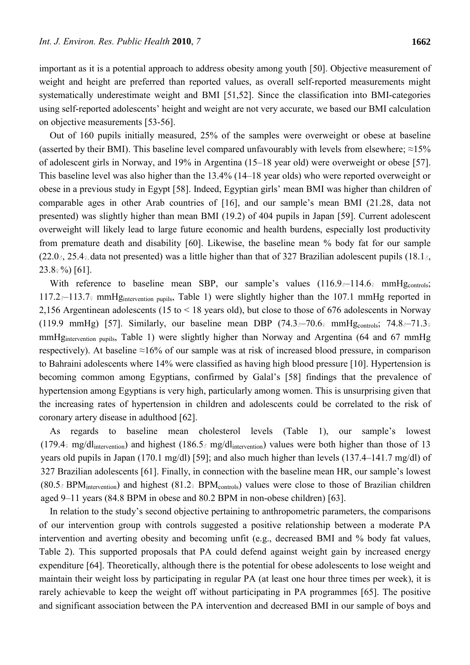important as it is a potential approach to address obesity among youth [50]. Objective measurement of weight and height are preferred than reported values, as overall self-reported measurements might systematically underestimate weight and BMI [51,52]. Since the classification into BMI-categories using self-reported adolescents' height and weight are not very accurate, we based our BMI calculation on objective measurements [53-56].

Out of 160 pupils initially measured, 25% of the samples were overweight or obese at baseline (asserted by their BMI). This baseline level compared unfavourably with levels from elsewhere;  $\approx$ 15% of adolescent girls in Norway, and 19% in Argentina (15–18 year old) were overweight or obese [57]. This baseline level was also higher than the 13.4% (14–18 year olds) who were reported overweight or obese in a previous study in Egypt [58]. Indeed, Egyptian girls' mean BMI was higher than children of comparable ages in other Arab countries of [16], and our sample's mean BMI (21.28, data not presented) was slightly higher than mean BMI (19.2) of 404 pupils in Japan [59]. Current adolescent overweight will likely lead to large future economic and health burdens, especially lost productivity from premature death and disability [60]. Likewise, the baseline mean % body fat for our sample  $(22.0<sub>3</sub>, 25.4<sub>9</sub>, data not presented) was a little higher than that of 327 Brazilian adolescent pupils (18.1<sub>3</sub>,$  $23.8\frac{\circ}{9}$  [61].

With reference to baseline mean SBP, our sample's values  $(116.9<sub>3</sub>-114.6<sub>9</sub> \text{mmHg}_{\text{controls}})$ 117.2♂–113.7♀ mmHgintervention pupils, Table 1) were slightly higher than the 107.1 mmHg reported in 2,156 Argentinean adolescents (15 to < 18 years old), but close to those of 676 adolescents in Norway (119.9 mmHg) [57]. Similarly, our baseline mean DBP (74.3<sup> $3-70.6$ </sup> mmHg<sub>controls</sub>; 74.8 $3-71.3$ mmHg<sub>intervention pupils</sub>, Table 1) were slightly higher than Norway and Argentina (64 and 67 mmHg respectively). At baseline ≈16% of our sample was at risk of increased blood pressure, in comparison to Bahraini adolescents where 14% were classified as having high blood pressure [10]. Hypertension is becoming common among Egyptians, confirmed by Galal's [58] findings that the prevalence of hypertension among Egyptians is very high, particularly among women. This is unsurprising given that the increasing rates of hypertension in children and adolescents could be correlated to the risk of coronary artery disease in adulthood [62].

As regards to baseline mean cholesterol levels (Table 1), our sample's lowest (179.4 $\frac{1}{2}$  mg/dl<sub>intervention</sub>) and highest (186.5 $\frac{3}{2}$  mg/dl<sub>intervention</sub>) values were both higher than those of 13 years old pupils in Japan (170.1 mg/dl) [59]; and also much higher than levels (137.4–141.7 mg/dl) of 327 Brazilian adolescents [61]. Finally, in connection with the baseline mean HR, our sample's lowest  $(80.5\text{~}$  BPM<sub>intervention</sub>) and highest  $(81.2\text{~}$  BPM<sub>controls</sub>) values were close to those of Brazilian children aged 9–11 years (84.8 BPM in obese and 80.2 BPM in non-obese children) [63].

In relation to the study's second objective pertaining to anthropometric parameters, the comparisons of our intervention group with controls suggested a positive relationship between a moderate PA intervention and averting obesity and becoming unfit (e.g., decreased BMI and % body fat values, Table 2). This supported proposals that PA could defend against weight gain by increased energy expenditure [64]. Theoretically, although there is the potential for obese adolescents to lose weight and maintain their weight loss by participating in regular PA (at least one hour three times per week), it is rarely achievable to keep the weight off without participating in PA programmes [65]. The positive and significant association between the PA intervention and decreased BMI in our sample of boys and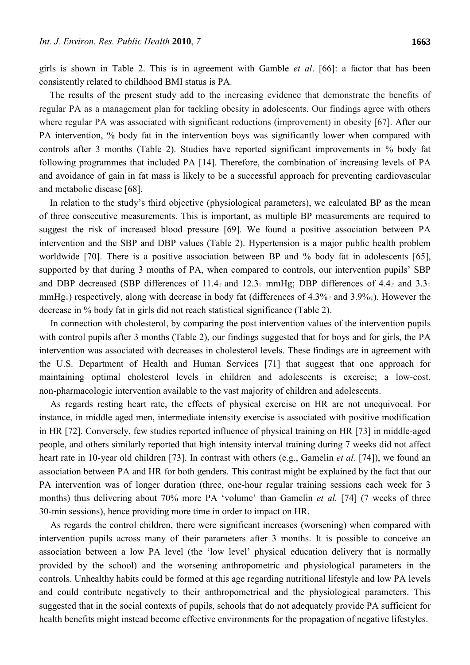girls is shown in Table 2. This is in agreement with Gamble *et al*. [66]: a factor that has been consistently related to childhood BMI status is PA.

The results of the present study add to the increasing evidence that demonstrate the benefits of regular PA as a management plan for tackling obesity in adolescents. Our findings agree with others where regular PA was associated with significant reductions (improvement) in obesity [67]. After our PA intervention, % body fat in the intervention boys was significantly lower when compared with controls after 3 months (Table 2). Studies have reported significant improvements in % body fat following programmes that included PA [14]. Therefore, the combination of increasing levels of PA and avoidance of gain in fat mass is likely to be a successful approach for preventing cardiovascular and metabolic disease [68].

In relation to the study's third objective (physiological parameters), we calculated BP as the mean of three consecutive measurements. This is important, as multiple BP measurements are required to suggest the risk of increased blood pressure [69]. We found a positive association between PA intervention and the SBP and DBP values (Table 2). Hypertension is a major public health problem worldwide [70]. There is a positive association between BP and % body fat in adolescents [65], supported by that during 3 months of PA, when compared to controls, our intervention pupils' SBP and DBP decreased (SBP differences of 11.4 $_{\circ}$  and 12.3 $_{\circ}$  mmHg; DBP differences of 4.4 $_{\circ}$  and 3.3 $_{\circ}$ mmHg<sub>♀</sub>) respectively, along with decrease in body fat (differences of 4.3% and 3.9% <sup>2</sup>). However the decrease in % body fat in girls did not reach statistical significance (Table 2).

In connection with cholesterol, by comparing the post intervention values of the intervention pupils with control pupils after 3 months (Table 2), our findings suggested that for boys and for girls, the PA intervention was associated with decreases in cholesterol levels. These findings are in agreement with the U.S. Department of Health and Human Services [71] that suggest that one approach for maintaining optimal cholesterol levels in children and adolescents is exercise; a low-cost, non-pharmacologic intervention available to the vast majority of children and adolescents.

As regards resting heart rate, the effects of physical exercise on HR are not unequivocal. For instance, in middle aged men, intermediate intensity exercise is associated with positive modification in HR [72]. Conversely, few studies reported influence of physical training on HR [73] in middle-aged people, and others similarly reported that high intensity interval training during 7 weeks did not affect heart rate in 10-year old children [73]. In contrast with others (e.g., Gamelin *et al.* [74]), we found an association between PA and HR for both genders. This contrast might be explained by the fact that our PA intervention was of longer duration (three, one-hour regular training sessions each week for 3 months) thus delivering about 70% more PA 'volume' than Gamelin *et al.* [74] (7 weeks of three 30-min sessions), hence providing more time in order to impact on HR.

As regards the control children, there were significant increases (worsening) when compared with intervention pupils across many of their parameters after 3 months. It is possible to conceive an association between a low PA level (the 'low level' physical education delivery that is normally provided by the school) and the worsening anthropometric and physiological parameters in the controls. Unhealthy habits could be formed at this age regarding nutritional lifestyle and low PA levels and could contribute negatively to their anthropometrical and the physiological parameters. This suggested that in the social contexts of pupils, schools that do not adequately provide PA sufficient for health benefits might instead become effective environments for the propagation of negative lifestyles.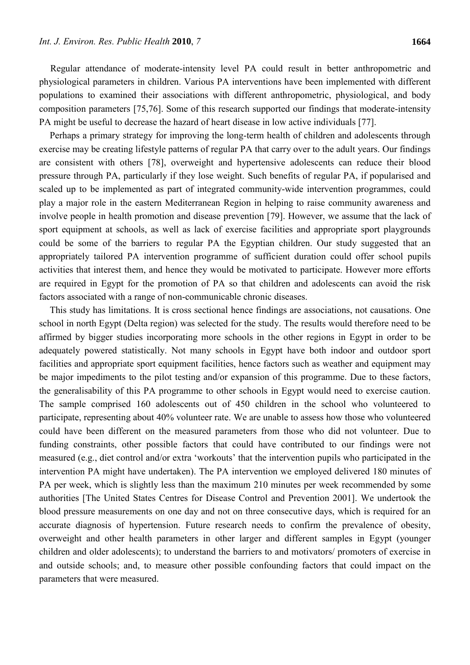Regular attendance of moderate-intensity level PA could result in better anthropometric and physiological parameters in children. Various PA interventions have been implemented with different populations to examined their associations with different anthropometric, physiological, and body composition parameters [75,76]. Some of this research supported our findings that moderate-intensity PA might be useful to decrease the hazard of heart disease in low active individuals [77].

Perhaps a primary strategy for improving the long-term health of children and adolescents through exercise may be creating lifestyle patterns of regular PA that carry over to the adult years. Our findings are consistent with others [78], overweight and hypertensive adolescents can reduce their blood pressure through PA, particularly if they lose weight. Such benefits of regular PA, if popularised and scaled up to be implemented as part of integrated community-wide intervention programmes, could play a major role in the eastern Mediterranean Region in helping to raise community awareness and involve people in health promotion and disease prevention [79]. However, we assume that the lack of sport equipment at schools, as well as lack of exercise facilities and appropriate sport playgrounds could be some of the barriers to regular PA the Egyptian children. Our study suggested that an appropriately tailored PA intervention programme of sufficient duration could offer school pupils activities that interest them, and hence they would be motivated to participate. However more efforts are required in Egypt for the promotion of PA so that children and adolescents can avoid the risk factors associated with a range of non-communicable chronic diseases.

This study has limitations. It is cross sectional hence findings are associations, not causations. One school in north Egypt (Delta region) was selected for the study. The results would therefore need to be affirmed by bigger studies incorporating more schools in the other regions in Egypt in order to be adequately powered statistically. Not many schools in Egypt have both indoor and outdoor sport facilities and appropriate sport equipment facilities, hence factors such as weather and equipment may be major impediments to the pilot testing and/or expansion of this programme. Due to these factors, the generalisability of this PA programme to other schools in Egypt would need to exercise caution. The sample comprised 160 adolescents out of 450 children in the school who volunteered to participate, representing about 40% volunteer rate. We are unable to assess how those who volunteered could have been different on the measured parameters from those who did not volunteer. Due to funding constraints, other possible factors that could have contributed to our findings were not measured (e.g., diet control and/or extra 'workouts' that the intervention pupils who participated in the intervention PA might have undertaken). The PA intervention we employed delivered 180 minutes of PA per week, which is slightly less than the maximum 210 minutes per week recommended by some authorities [The United States Centres for Disease Control and Prevention 2001]. We undertook the blood pressure measurements on one day and not on three consecutive days, which is required for an accurate diagnosis of hypertension. Future research needs to confirm the prevalence of obesity, overweight and other health parameters in other larger and different samples in Egypt (younger children and older adolescents); to understand the barriers to and motivators/ promoters of exercise in and outside schools; and, to measure other possible confounding factors that could impact on the parameters that were measured.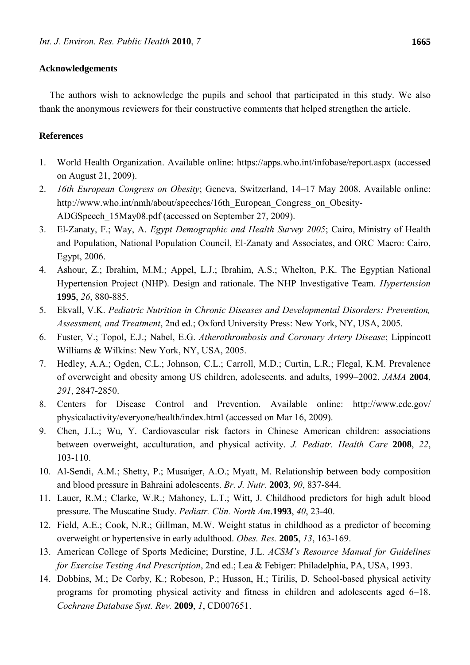## **Acknowledgements**

The authors wish to acknowledge the pupils and school that participated in this study. We also thank the anonymous reviewers for their constructive comments that helped strengthen the article.

## **References**

- 1. World Health Organization. Available online: https://apps.who.int/infobase/report.aspx (accessed on August 21, 2009).
- 2. *16th European Congress on Obesity*; Geneva, Switzerland, 14–17 May 2008. Available online: http://www.who.int/nmh/about/speeches/16th\_European\_Congress\_on\_Obesity-ADGSpeech\_15May08.pdf (accessed on September 27, 2009).
- 3. El-Zanaty, F.; Way, A. *Egypt Demographic and Health Survey 2005*; Cairo, Ministry of Health and Population, National Population Council, El-Zanaty and Associates, and ORC Macro: Cairo, Egypt, 2006.
- 4. Ashour, Z.; Ibrahim, M.M.; Appel, L.J.; Ibrahim, A.S.; Whelton, P.K. The Egyptian National Hypertension Project (NHP). Design and rationale. The NHP Investigative Team. *Hypertension*  **1995**, *26*, 880-885.
- 5. Ekvall, V.K. *Pediatric Nutrition in Chronic Diseases and Developmental Disorders: Prevention, Assessment, and Treatment*, 2nd ed.; Oxford University Press: New York, NY, USA, 2005.
- 6. Fuster, V.; Topol, E.J.; Nabel, E.G. *Atherothrombosis and Coronary Artery Disease*; Lippincott Williams & Wilkins: New York, NY, USA, 2005.
- 7. Hedley, A.A.; Ogden, C.L.; Johnson, C.L.; Carroll, M.D.; Curtin, L.R.; Flegal, K.M. Prevalence of overweight and obesity among US children, adolescents, and adults, 1999–2002. *JAMA* **2004**, *291*, 2847-2850.
- 8. Centers for Disease Control and Prevention. Available online: http://www.cdc.gov/ physicalactivity/everyone/health/index.html (accessed on Mar 16, 2009).
- 9. Chen, J.L.; Wu, Y. Cardiovascular risk factors in Chinese American children: associations between overweight, acculturation, and physical activity. *J. Pediatr. Health Care* **2008**, *22*, 103-110.
- 10. Al-Sendi, A.M.; Shetty, P.; Musaiger, A.O.; Myatt, M. Relationship between body composition and blood pressure in Bahraini adolescents. *Br. J. Nutr*. **2003**, *90*, 837-844.
- 11. Lauer, R.M.; Clarke, W.R.; Mahoney, L.T.; Witt, J. Childhood predictors for high adult blood pressure. The Muscatine Study. *Pediatr. Clin. North Am*.**1993**, *40*, 23-40.
- 12. Field, A.E.; Cook, N.R.; Gillman, M.W. Weight status in childhood as a predictor of becoming overweight or hypertensive in early adulthood. *Obes. Res.* **2005**, *13*, 163-169.
- 13. American College of Sports Medicine; Durstine, J.L. *ACSM's Resource Manual for Guidelines for Exercise Testing And Prescription*, 2nd ed.; Lea & Febiger: Philadelphia, PA, USA, 1993.
- 14. Dobbins, M.; De Corby, K.; Robeson, P.; Husson, H.; Tirilis, D. School-based physical activity programs for promoting physical activity and fitness in children and adolescents aged 6–18. *Cochrane Database Syst. Rev.* **2009**, *1*, CD007651.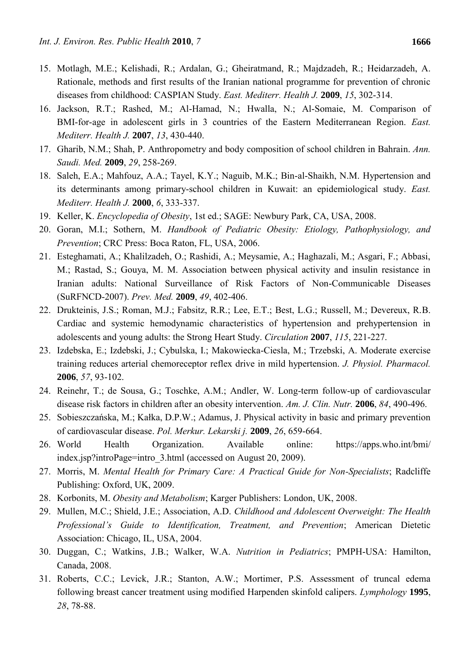- 15. Motlagh, M.E.; Kelishadi, R.; Ardalan, G.; Gheiratmand, R.; Majdzadeh, R.; Heidarzadeh, A. Rationale, methods and first results of the Iranian national programme for prevention of chronic diseases from childhood: CASPIAN Study. *East. Mediterr. Health J.* **2009**, *15*, 302-314.
- 16. Jackson, R.T.; Rashed, M.; Al-Hamad, N.; Hwalla, N.; Al-Somaie, M. Comparison of BMI-for-age in adolescent girls in 3 countries of the Eastern Mediterranean Region. *East. Mediterr. Health J.* **2007**, *13*, 430-440.
- 17. Gharib, N.M.; Shah, P. Anthropometry and body composition of school children in Bahrain. *Ann. Saudi. Med.* **2009**, *29*, 258-269.
- 18. Saleh, E.A.; Mahfouz, A.A.; Tayel, K.Y.; Naguib, M.K.; Bin-al-Shaikh, N.M. Hypertension and its determinants among primary-school children in Kuwait: an epidemiological study. *East. Mediterr. Health J.* **2000**, *6*, 333-337.
- 19. Keller, K. *Encyclopedia of Obesity*, 1st ed.; SAGE: Newbury Park, CA, USA, 2008.
- 20. Goran, M.I.; Sothern, M. *Handbook of Pediatric Obesity: Etiology, Pathophysiology, and Prevention*; CRC Press: Boca Raton, FL, USA, 2006.
- 21. Esteghamati, A.; Khalilzadeh, O.; Rashidi, A.; Meysamie, A.; Haghazali, M.; Asgari, F.; Abbasi, M.; Rastad, S.; Gouya, M. M. Association between physical activity and insulin resistance in Iranian adults: National Surveillance of Risk Factors of Non-Communicable Diseases (SuRFNCD-2007). *Prev. Med.* **2009**, *49*, 402-406.
- 22. Drukteinis, J.S.; Roman, M.J.; Fabsitz, R.R.; Lee, E.T.; Best, L.G.; Russell, M.; Devereux, R.B. Cardiac and systemic hemodynamic characteristics of hypertension and prehypertension in adolescents and young adults: the Strong Heart Study. *Circulation* **2007**, *115*, 221-227.
- 23. Izdebska, E.; Izdebski, J.; Cybulska, I.; Makowiecka-Ciesla, M.; Trzebski, A. Moderate exercise training reduces arterial chemoreceptor reflex drive in mild hypertension. *J. Physiol. Pharmacol.*  **2006**, *57*, 93-102.
- 24. Reinehr, T.; de Sousa, G.; Toschke, A.M.; Andler, W. Long-term follow-up of cardiovascular disease risk factors in children after an obesity intervention. *Am. J. Clin. Nutr.* **2006**, *84*, 490-496.
- 25. Sobieszczańska, M.; Kałka, D.P.W.; Adamus, J. Physical activity in basic and primary prevention of cardiovascular disease. *Pol. Merkur. Lekarski j.* **2009**, *26*, 659-664.
- 26. World Health Organization. Available online: https://apps.who.int/bmi/ index.jsp?introPage=intro\_3.html (accessed on August 20, 2009).
- 27. Morris, M. *Mental Health for Primary Care: A Practical Guide for Non-Specialists*; Radcliffe Publishing: Oxford, UK, 2009.
- 28. Korbonits, M. *Obesity and Metabolism*; Karger Publishers: London, UK, 2008.
- 29. Mullen, M.C.; Shield, J.E.; Association, A.D. *Childhood and Adolescent Overweight: The Health Professional's Guide to Identification, Treatment, and Prevention*; American Dietetic Association: Chicago, IL, USA, 2004.
- 30. Duggan, C.; Watkins, J.B.; Walker, W.A. *Nutrition in Pediatrics*; PMPH-USA: Hamilton, Canada, 2008.
- 31. Roberts, C.C.; Levick, J.R.; Stanton, A.W.; Mortimer, P.S. Assessment of truncal edema following breast cancer treatment using modified Harpenden skinfold calipers. *Lymphology* **1995**, *28*, 78-88.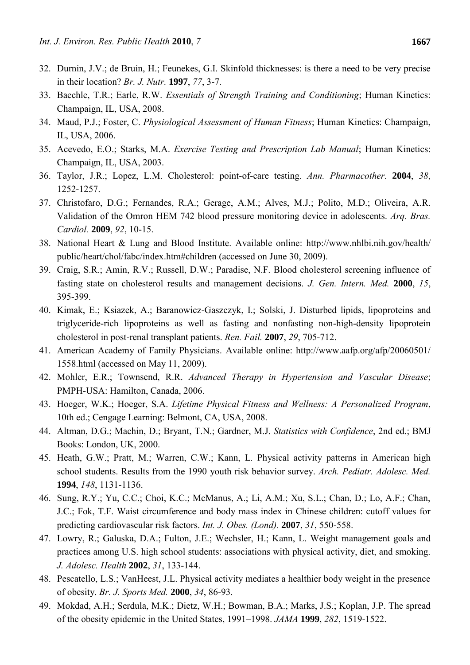- 32. Durnin, J.V.; de Bruin, H.; Feunekes, G.I. Skinfold thicknesses: is there a need to be very precise in their location? *Br. J. Nutr.* **1997**, *77*, 3-7.
- 33. Baechle, T.R.; Earle, R.W. *Essentials of Strength Training and Conditioning*; Human Kinetics: Champaign, IL, USA, 2008.
- 34. Maud, P.J.; Foster, C. *Physiological Assessment of Human Fitness*; Human Kinetics: Champaign, IL, USA, 2006.
- 35. Acevedo, E.O.; Starks, M.A. *Exercise Testing and Prescription Lab Manual*; Human Kinetics: Champaign, IL, USA, 2003.
- 36. Taylor, J.R.; Lopez, L.M. Cholesterol: point-of-care testing. *Ann. Pharmacother.* **2004**, *38*, 1252-1257.
- 37. Christofaro, D.G.; Fernandes, R.A.; Gerage, A.M.; Alves, M.J.; Polito, M.D.; Oliveira, A.R. Validation of the Omron HEM 742 blood pressure monitoring device in adolescents. *Arq. Bras. Cardiol.* **2009**, *92*, 10-15.
- 38. National Heart & Lung and Blood Institute. Available online: http://www.nhlbi.nih.gov/health/ public/heart/chol/fabc/index.htm#children (accessed on June 30, 2009).
- 39. Craig, S.R.; Amin, R.V.; Russell, D.W.; Paradise, N.F. Blood cholesterol screening influence of fasting state on cholesterol results and management decisions. *J. Gen. Intern. Med.* **2000**, *15*, 395-399.
- 40. Kimak, E.; Ksiazek, A.; Baranowicz-Gaszczyk, I.; Solski, J. Disturbed lipids, lipoproteins and triglyceride-rich lipoproteins as well as fasting and nonfasting non-high-density lipoprotein cholesterol in post-renal transplant patients. *Ren. Fail.* **2007**, *29*, 705-712.
- 41. American Academy of Family Physicians. Available online: http://www.aafp.org/afp/20060501/ 1558.html (accessed on May 11, 2009).
- 42. Mohler, E.R.; Townsend, R.R. *Advanced Therapy in Hypertension and Vascular Disease*; PMPH-USA: Hamilton, Canada, 2006.
- 43. Hoeger, W.K.; Hoeger, S.A. *Lifetime Physical Fitness and Wellness: A Personalized Program*, 10th ed.; Cengage Learning: Belmont, CA, USA, 2008.
- 44. Altman, D.G.; Machin, D.; Bryant, T.N.; Gardner, M.J. *Statistics with Confidence*, 2nd ed.; BMJ Books: London, UK, 2000.
- 45. Heath, G.W.; Pratt, M.; Warren, C.W.; Kann, L. Physical activity patterns in American high school students. Results from the 1990 youth risk behavior survey. *Arch. Pediatr. Adolesc. Med.*  **1994**, *148*, 1131-1136.
- 46. Sung, R.Y.; Yu, C.C.; Choi, K.C.; McManus, A.; Li, A.M.; Xu, S.L.; Chan, D.; Lo, A.F.; Chan, J.C.; Fok, T.F. Waist circumference and body mass index in Chinese children: cutoff values for predicting cardiovascular risk factors. *Int. J. Obes. (Lond).* **2007**, *31*, 550-558.
- 47. Lowry, R.; Galuska, D.A.; Fulton, J.E.; Wechsler, H.; Kann, L. Weight management goals and practices among U.S. high school students: associations with physical activity, diet, and smoking. *J. Adolesc. Health* **2002**, *31*, 133-144.
- 48. Pescatello, L.S.; VanHeest, J.L. Physical activity mediates a healthier body weight in the presence of obesity. *Br. J. Sports Med.* **2000**, *34*, 86-93.
- 49. Mokdad, A.H.; Serdula, M.K.; Dietz, W.H.; Bowman, B.A.; Marks, J.S.; Koplan, J.P. The spread of the obesity epidemic in the United States, 1991–1998. *JAMA* **1999**, *282*, 1519-1522.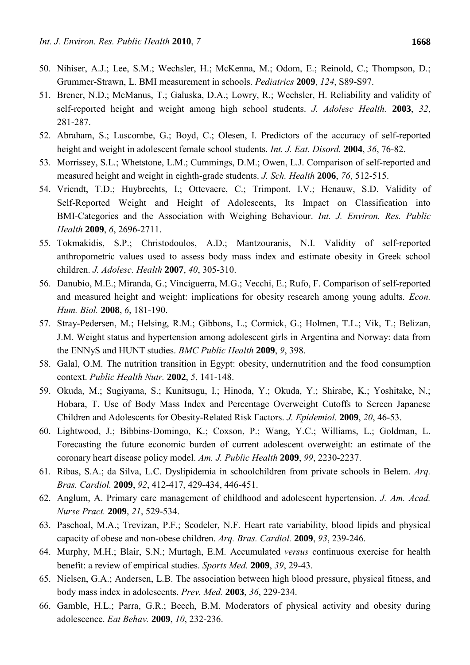- 50. Nihiser, A.J.; Lee, S.M.; Wechsler, H.; McKenna, M.; Odom, E.; Reinold, C.; Thompson, D.; Grummer-Strawn, L. BMI measurement in schools. *Pediatrics* **2009**, *124*, S89-S97.
- 51. Brener, N.D.; McManus, T.; Galuska, D.A.; Lowry, R.; Wechsler, H. Reliability and validity of self-reported height and weight among high school students. *J. Adolesc Health.* **2003**, *32*, 281-287.
- 52. Abraham, S.; Luscombe, G.; Boyd, C.; Olesen, I. Predictors of the accuracy of self-reported height and weight in adolescent female school students. *Int. J. Eat. Disord.* **2004**, *36*, 76-82.
- 53. Morrissey, S.L.; Whetstone, L.M.; Cummings, D.M.; Owen, L.J. Comparison of self-reported and measured height and weight in eighth-grade students. *J. Sch. Health* **2006**, *76*, 512-515.
- 54. Vriendt, T.D.; Huybrechts, I.; Ottevaere, C.; Trimpont, I.V.; Henauw, S.D. Validity of Self-Reported Weight and Height of Adolescents, Its Impact on Classification into BMI-Categories and the Association with Weighing Behaviour. *Int. J. Environ. Res. Public Health* **2009**, *6*, 2696-2711.
- 55. Tokmakidis, S.P.; Christodoulos, A.D.; Mantzouranis, N.I. Validity of self-reported anthropometric values used to assess body mass index and estimate obesity in Greek school children. *J. Adolesc. Health* **2007**, *40*, 305-310.
- 56. Danubio, M.E.; Miranda, G.; Vinciguerra, M.G.; Vecchi, E.; Rufo, F. Comparison of self-reported and measured height and weight: implications for obesity research among young adults. *Econ. Hum. Biol.* **2008**, *6*, 181-190.
- 57. Stray-Pedersen, M.; Helsing, R.M.; Gibbons, L.; Cormick, G.; Holmen, T.L.; Vik, T.; Belizan, J.M. Weight status and hypertension among adolescent girls in Argentina and Norway: data from the ENNyS and HUNT studies. *BMC Public Health* **2009**, *9*, 398.
- 58. Galal, O.M. The nutrition transition in Egypt: obesity, undernutrition and the food consumption context. *Public Health Nutr.* **2002**, *5*, 141-148.
- 59. Okuda, M.; Sugiyama, S.; Kunitsugu, I.; Hinoda, Y.; Okuda, Y.; Shirabe, K.; Yoshitake, N.; Hobara, T. Use of Body Mass Index and Percentage Overweight Cutoffs to Screen Japanese Children and Adolescents for Obesity-Related Risk Factors. *J. Epidemiol.* **2009**, *20*, 46-53.
- 60. Lightwood, J.; Bibbins-Domingo, K.; Coxson, P.; Wang, Y.C.; Williams, L.; Goldman, L. Forecasting the future economic burden of current adolescent overweight: an estimate of the coronary heart disease policy model. *Am. J. Public Health* **2009**, *99*, 2230-2237.
- 61. Ribas, S.A.; da Silva, L.C. Dyslipidemia in schoolchildren from private schools in Belem. *Arq. Bras. Cardiol.* **2009**, *92*, 412-417, 429-434, 446-451.
- 62. Anglum, A. Primary care management of childhood and adolescent hypertension. *J. Am. Acad. Nurse Pract.* **2009**, *21*, 529-534.
- 63. Paschoal, M.A.; Trevizan, P.F.; Scodeler, N.F. Heart rate variability, blood lipids and physical capacity of obese and non-obese children. *Arq. Bras. Cardiol.* **2009**, *93*, 239-246.
- 64. Murphy, M.H.; Blair, S.N.; Murtagh, E.M. Accumulated *versus* continuous exercise for health benefit: a review of empirical studies. *Sports Med.* **2009**, *39*, 29-43.
- 65. Nielsen, G.A.; Andersen, L.B. The association between high blood pressure, physical fitness, and body mass index in adolescents. *Prev. Med.* **2003**, *36*, 229-234.
- 66. Gamble, H.L.; Parra, G.R.; Beech, B.M. Moderators of physical activity and obesity during adolescence. *Eat Behav.* **2009**, *10*, 232-236.